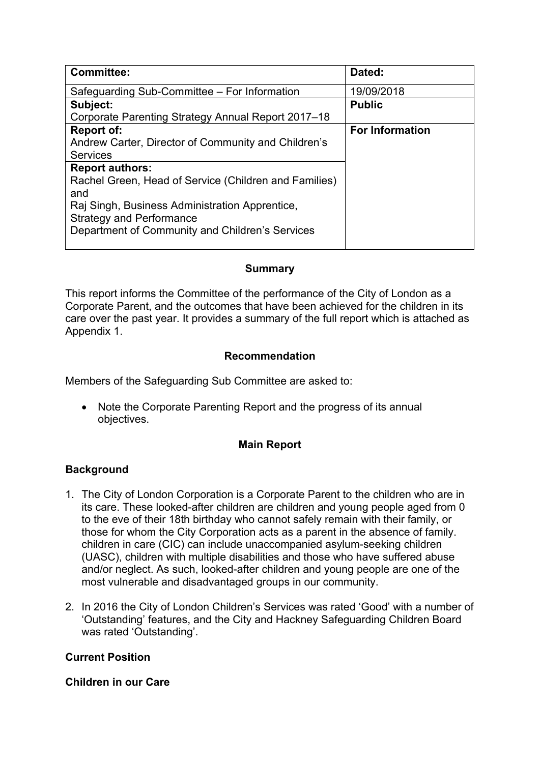| <b>Committee:</b>                                                                                                                                                                                                              | Dated:                 |
|--------------------------------------------------------------------------------------------------------------------------------------------------------------------------------------------------------------------------------|------------------------|
| Safeguarding Sub-Committee – For Information                                                                                                                                                                                   | 19/09/2018             |
| Subject:                                                                                                                                                                                                                       | <b>Public</b>          |
| Corporate Parenting Strategy Annual Report 2017-18                                                                                                                                                                             |                        |
| <b>Report of:</b><br>Andrew Carter, Director of Community and Children's<br><b>Services</b>                                                                                                                                    | <b>For Information</b> |
| <b>Report authors:</b><br>Rachel Green, Head of Service (Children and Families)<br>and<br>Raj Singh, Business Administration Apprentice,<br><b>Strategy and Performance</b><br>Department of Community and Children's Services |                        |

### **Summary**

This report informs the Committee of the performance of the City of London as a Corporate Parent, and the outcomes that have been achieved for the children in its care over the past year. It provides a summary of the full report which is attached as Appendix 1.

### **Recommendation**

Members of the Safeguarding Sub Committee are asked to:

 Note the Corporate Parenting Report and the progress of its annual objectives.

# **Main Report**

# **Background**

- 1. The City of London Corporation is a Corporate Parent to the children who are in its care. These looked-after children are children and young people aged from 0 to the eve of their 18th birthday who cannot safely remain with their family, or those for whom the City Corporation acts as a parent in the absence of family. children in care (CIC) can include unaccompanied asylum-seeking children (UASC), children with multiple disabilities and those who have suffered abuse and/or neglect. As such, looked-after children and young people are one of the most vulnerable and disadvantaged groups in our community.
- 2. In 2016 the City of London Children's Services was rated 'Good' with a number of 'Outstanding' features, and the City and Hackney Safeguarding Children Board was rated 'Outstanding'.

# **Current Position**

### **Children in our Care**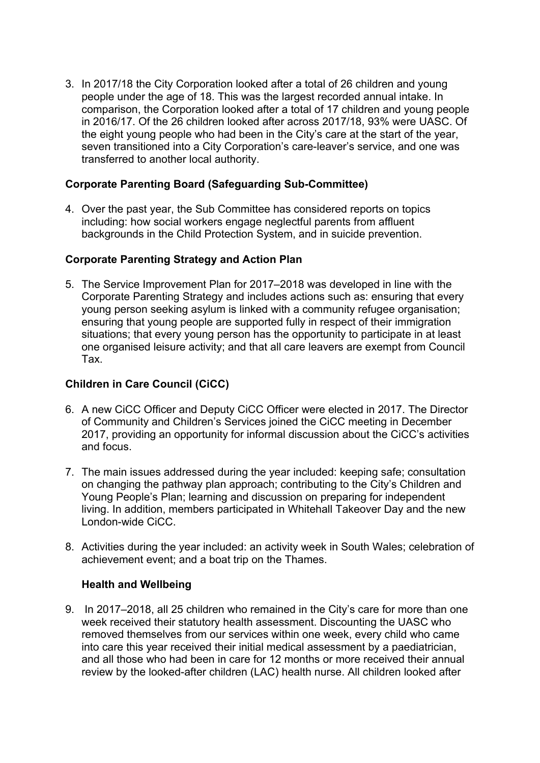3. In 2017/18 the City Corporation looked after a total of 26 children and young people under the age of 18. This was the largest recorded annual intake. In comparison, the Corporation looked after a total of 17 children and young people in 2016/17. Of the 26 children looked after across 2017/18, 93% were UASC. Of the eight young people who had been in the City's care at the start of the year, seven transitioned into a City Corporation's care-leaver's service, and one was transferred to another local authority.

### **Corporate Parenting Board (Safeguarding Sub-Committee)**

4. Over the past year, the Sub Committee has considered reports on topics including: how social workers engage neglectful parents from affluent backgrounds in the Child Protection System, and in suicide prevention.

### **Corporate Parenting Strategy and Action Plan**

5. The Service Improvement Plan for 2017–2018 was developed in line with the Corporate Parenting Strategy and includes actions such as: ensuring that every young person seeking asylum is linked with a community refugee organisation; ensuring that young people are supported fully in respect of their immigration situations; that every young person has the opportunity to participate in at least one organised leisure activity; and that all care leavers are exempt from Council Tax.

### **Children in Care Council (CiCC)**

- 6. A new CiCC Officer and Deputy CiCC Officer were elected in 2017. The Director of Community and Children's Services joined the CiCC meeting in December 2017, providing an opportunity for informal discussion about the CiCC's activities and focus.
- 7. The main issues addressed during the year included: keeping safe; consultation on changing the pathway plan approach; contributing to the City's Children and Young People's Plan; learning and discussion on preparing for independent living. In addition, members participated in Whitehall Takeover Day and the new London-wide CiCC.
- 8. Activities during the year included: an activity week in South Wales; celebration of achievement event; and a boat trip on the Thames.

### **Health and Wellbeing**

9. In 2017–2018, all 25 children who remained in the City's care for more than one week received their statutory health assessment. Discounting the UASC who removed themselves from our services within one week, every child who came into care this year received their initial medical assessment by a paediatrician, and all those who had been in care for 12 months or more received their annual review by the looked-after children (LAC) health nurse. All children looked after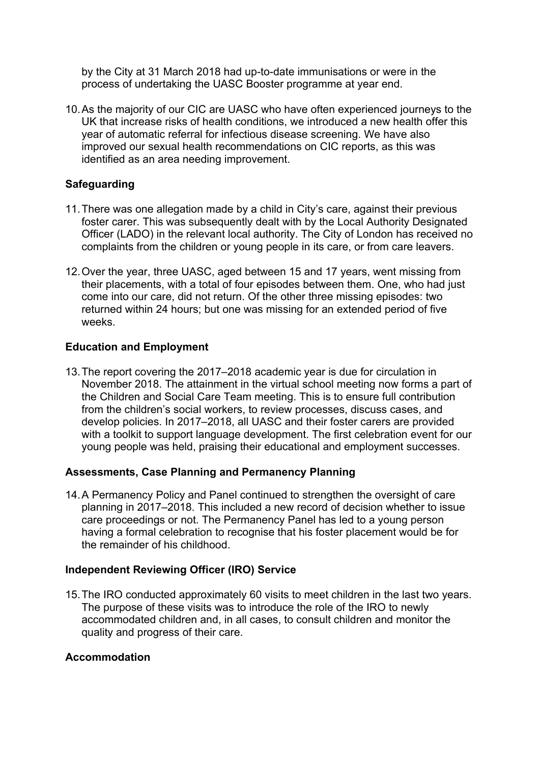by the City at 31 March 2018 had up-to-date immunisations or were in the process of undertaking the UASC Booster programme at year end.

10.As the majority of our CIC are UASC who have often experienced journeys to the UK that increase risks of health conditions, we introduced a new health offer this year of automatic referral for infectious disease screening. We have also improved our sexual health recommendations on CIC reports, as this was identified as an area needing improvement.

# **Safeguarding**

- 11.There was one allegation made by a child in City's care, against their previous foster carer. This was subsequently dealt with by the Local Authority Designated Officer (LADO) in the relevant local authority. The City of London has received no complaints from the children or young people in its care, or from care leavers.
- 12.Over the year, three UASC, aged between 15 and 17 years, went missing from their placements, with a total of four episodes between them. One, who had just come into our care, did not return. Of the other three missing episodes: two returned within 24 hours; but one was missing for an extended period of five weeks.

### **Education and Employment**

13.The report covering the 2017–2018 academic year is due for circulation in November 2018. The attainment in the virtual school meeting now forms a part of the Children and Social Care Team meeting. This is to ensure full contribution from the children's social workers, to review processes, discuss cases, and develop policies. In 2017–2018, all UASC and their foster carers are provided with a toolkit to support language development. The first celebration event for our young people was held, praising their educational and employment successes.

### **Assessments, Case Planning and Permanency Planning**

14.A Permanency Policy and Panel continued to strengthen the oversight of care planning in 2017–2018. This included a new record of decision whether to issue care proceedings or not. The Permanency Panel has led to a young person having a formal celebration to recognise that his foster placement would be for the remainder of his childhood.

### **Independent Reviewing Officer (IRO) Service**

15.The IRO conducted approximately 60 visits to meet children in the last two years. The purpose of these visits was to introduce the role of the IRO to newly accommodated children and, in all cases, to consult children and monitor the quality and progress of their care.

### **Accommodation**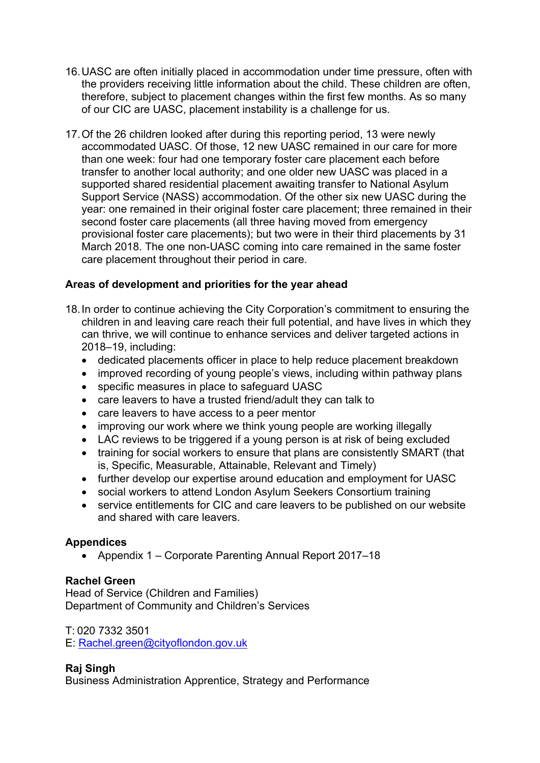- 16.UASC are often initially placed in accommodation under time pressure, often with the providers receiving little information about the child. These children are often, therefore, subject to placement changes within the first few months. As so many of our CIC are UASC, placement instability is a challenge for us.
- 17.Of the 26 children looked after during this reporting period, 13 were newly accommodated UASC. Of those, 12 new UASC remained in our care for more than one week: four had one temporary foster care placement each before transfer to another local authority; and one older new UASC was placed in a supported shared residential placement awaiting transfer to National Asylum Support Service (NASS) accommodation. Of the other six new UASC during the year: one remained in their original foster care placement; three remained in their second foster care placements (all three having moved from emergency provisional foster care placements); but two were in their third placements by 31 March 2018. The one non-UASC coming into care remained in the same foster care placement throughout their period in care.

### **Areas of development and priorities for the year ahead**

- 18.In order to continue achieving the City Corporation's commitment to ensuring the children in and leaving care reach their full potential, and have lives in which they can thrive, we will continue to enhance services and deliver targeted actions in 2018–19, including:
	- dedicated placements officer in place to help reduce placement breakdown
	- improved recording of young people's views, including within pathway plans
	- specific measures in place to safeguard UASC
	- care leavers to have a trusted friend/adult they can talk to
	- care leavers to have access to a peer mentor
	- improving our work where we think young people are working illegally
	- LAC reviews to be triggered if a young person is at risk of being excluded
	- training for social workers to ensure that plans are consistently SMART (that is, Specific, Measurable, Attainable, Relevant and Timely)
	- further develop our expertise around education and employment for UASC
	- social workers to attend London Asylum Seekers Consortium training
	- service entitlements for CIC and care leavers to be published on our website and shared with care leavers.

### **Appendices**

Appendix 1 – Corporate Parenting Annual Report 2017–18

### **Rachel Green**

Head of Service (Children and Families) Department of Community and Children's Services

T: 020 7332 3501

E: [Rachel.green@cityoflondon.gov.uk](mailto:Rachel.green@cityoflondon.gov.uk)

# **Raj Singh**

Business Administration Apprentice, Strategy and Performance